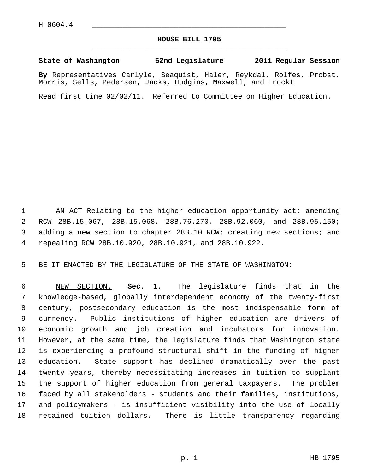## **HOUSE BILL 1795** \_\_\_\_\_\_\_\_\_\_\_\_\_\_\_\_\_\_\_\_\_\_\_\_\_\_\_\_\_\_\_\_\_\_\_\_\_\_\_\_\_\_\_\_\_

## **State of Washington 62nd Legislature 2011 Regular Session**

**By** Representatives Carlyle, Seaquist, Haler, Reykdal, Rolfes, Probst, Morris, Sells, Pedersen, Jacks, Hudgins, Maxwell, and Frockt

Read first time 02/02/11. Referred to Committee on Higher Education.

1 AN ACT Relating to the higher education opportunity act; amending 2 RCW 28B.15.067, 28B.15.068, 28B.76.270, 28B.92.060, and 28B.95.150; 3 adding a new section to chapter 28B.10 RCW; creating new sections; and 4 repealing RCW 28B.10.920, 28B.10.921, and 28B.10.922.

5 BE IT ENACTED BY THE LEGISLATURE OF THE STATE OF WASHINGTON:

 6 NEW SECTION. **Sec. 1.** The legislature finds that in the 7 knowledge-based, globally interdependent economy of the twenty-first 8 century, postsecondary education is the most indispensable form of 9 currency. Public institutions of higher education are drivers of 10 economic growth and job creation and incubators for innovation. 11 However, at the same time, the legislature finds that Washington state 12 is experiencing a profound structural shift in the funding of higher 13 education. State support has declined dramatically over the past 14 twenty years, thereby necessitating increases in tuition to supplant 15 the support of higher education from general taxpayers. The problem 16 faced by all stakeholders - students and their families, institutions, 17 and policymakers - is insufficient visibility into the use of locally 18 retained tuition dollars. There is little transparency regarding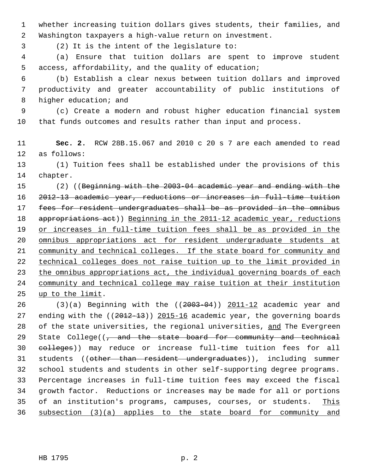1 whether increasing tuition dollars gives students, their families, and 2 Washington taxpayers a high-value return on investment.

3 (2) It is the intent of the legislature to:

 4 (a) Ensure that tuition dollars are spent to improve student 5 access, affordability, and the quality of education;

 6 (b) Establish a clear nexus between tuition dollars and improved 7 productivity and greater accountability of public institutions of 8 higher education; and

 9 (c) Create a modern and robust higher education financial system 10 that funds outcomes and results rather than input and process.

11 **Sec. 2.** RCW 28B.15.067 and 2010 c 20 s 7 are each amended to read 12 as follows:

13 (1) Tuition fees shall be established under the provisions of this 14 chapter.

15 (2) ((Beginning with the 2003-04 academic year and ending with the 2012-13 academic year, reductions or increases in full-time tuition 17 fees for resident undergraduates shall be as provided in the omnibus 18 appropriations act)) Beginning in the 2011-12 academic year, reductions or increases in full-time tuition fees shall be as provided in the omnibus appropriations act for resident undergraduate students at 21 community and technical colleges. If the state board for community and technical colleges does not raise tuition up to the limit provided in the omnibus appropriations act, the individual governing boards of each community and technical college may raise tuition at their institution up to the limit.

 $26$  (3)(a) Beginning with the (( $2003-04$ ))  $2011-12$  academic year and 27 ending with the ((2012-13)) 2015-16 academic year, the governing boards 28 of the state universities, the regional universities, and The Evergreen 29 State College( $\left(\frac{1}{1} + \frac{1}{2} + \frac{1}{2}\right)$  state board for community and technical 30 colleges)) may reduce or increase full-time tuition fees for all 31 students ((other than resident undergraduates)), including summer 32 school students and students in other self-supporting degree programs. 33 Percentage increases in full-time tuition fees may exceed the fiscal 34 growth factor. Reductions or increases may be made for all or portions 35 of an institution's programs, campuses, courses, or students. This 36 subsection (3)(a) applies to the state board for community and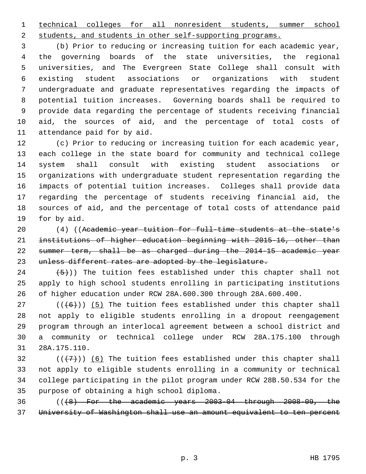1 technical colleges for all nonresident students, summer school

2 students, and students in other self-supporting programs.

 3 (b) Prior to reducing or increasing tuition for each academic year, 4 the governing boards of the state universities, the regional 5 universities, and The Evergreen State College shall consult with 6 existing student associations or organizations with student 7 undergraduate and graduate representatives regarding the impacts of 8 potential tuition increases. Governing boards shall be required to 9 provide data regarding the percentage of students receiving financial 10 aid, the sources of aid, and the percentage of total costs of 11 attendance paid for by aid.

12 (c) Prior to reducing or increasing tuition for each academic year, 13 each college in the state board for community and technical college 14 system shall consult with existing student associations or 15 organizations with undergraduate student representation regarding the 16 impacts of potential tuition increases. Colleges shall provide data 17 regarding the percentage of students receiving financial aid, the 18 sources of aid, and the percentage of total costs of attendance paid 19 for by aid.

20 (4) ((Academic year tuition for full-time students at the state's 21 institutions of higher education beginning with 2015-16, other than 22 summer term, shall be as charged during the 2014-15 academic year 23 unless different rates are adopted by the legislature.

24  $(5)$ )) The tuition fees established under this chapter shall not 25 apply to high school students enrolling in participating institutions 26 of higher education under RCW 28A.600.300 through 28A.600.400.

27  $((+6))$  (5) The tuition fees established under this chapter shall 28 not apply to eligible students enrolling in a dropout reengagement 29 program through an interlocal agreement between a school district and 30 a community or technical college under RCW 28A.175.100 through 31 28A.175.110.

32  $((+7))$  (6) The tuition fees established under this chapter shall 33 not apply to eligible students enrolling in a community or technical 34 college participating in the pilot program under RCW 28B.50.534 for the 35 purpose of obtaining a high school diploma.

36  $((\lbrace 8 \rbrace \text{ For the academic years } 2003-04 \text{ through } 2008-09, \text{ the } 3008-09)$ 37 University of Washington shall use an amount equivalent to ten percent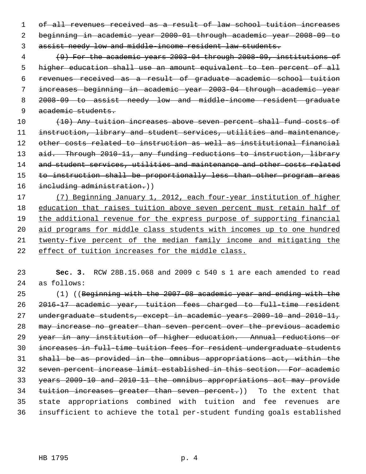of all revenues received as a result of law school tuition increases beginning in academic year 2000-01 through academic year 2008-09 to assist needy low and middle-income resident law students.

 (9) For the academic years 2003-04 through 2008-09, institutions of higher education shall use an amount equivalent to ten percent of all revenues received as a result of graduate academic school tuition increases beginning in academic year 2003-04 through academic year 2008-09 to assist needy low and middle-income resident graduate academic students.

10 (10) Any tuition increases above seven percent shall fund costs of instruction, library and student services, utilities and maintenance, other costs related to instruction as well as institutional financial 13 aid. Through 2010-11, any funding reductions to instruction, library 14 and student services, utilities and maintenance and other costs related 15 to instruction shall be proportionally less than other program areas 16 including administration.))

 (7) Beginning January 1, 2012, each four-year institution of higher education that raises tuition above seven percent must retain half of the additional revenue for the express purpose of supporting financial aid programs for middle class students with incomes up to one hundred twenty-five percent of the median family income and mitigating the effect of tuition increases for the middle class.

 **Sec. 3.** RCW 28B.15.068 and 2009 c 540 s 1 are each amended to read 24 as follows:

25 (1) ((Beginning with the 2007-08 academic year and ending with the 2016-17 academic year, tuition fees charged to full-time resident undergraduate students, except in academic years 2009-10 and 2010-11, may increase no greater than seven percent over the previous academic year in any institution of higher education. Annual reductions or increases in full-time tuition fees for resident undergraduate students shall be as provided in the omnibus appropriations act, within the seven percent increase limit established in this section. For academic years 2009-10 and 2010-11 the omnibus appropriations act may provide 34 tuition increases greater than seven percent.)) To the extent that 35 state appropriations combined with tuition and fee revenues are 36 insufficient to achieve the total per-student funding goals established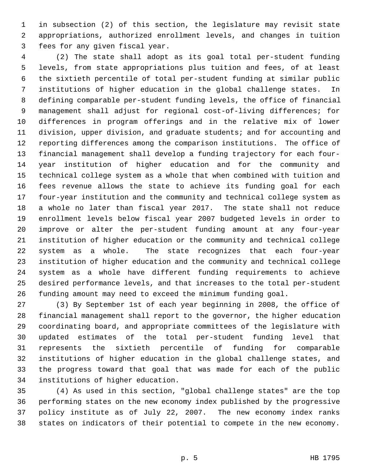1 in subsection (2) of this section, the legislature may revisit state 2 appropriations, authorized enrollment levels, and changes in tuition 3 fees for any given fiscal year.

 4 (2) The state shall adopt as its goal total per-student funding 5 levels, from state appropriations plus tuition and fees, of at least 6 the sixtieth percentile of total per-student funding at similar public 7 institutions of higher education in the global challenge states. In 8 defining comparable per-student funding levels, the office of financial 9 management shall adjust for regional cost-of-living differences; for 10 differences in program offerings and in the relative mix of lower 11 division, upper division, and graduate students; and for accounting and 12 reporting differences among the comparison institutions. The office of 13 financial management shall develop a funding trajectory for each four-14 year institution of higher education and for the community and 15 technical college system as a whole that when combined with tuition and 16 fees revenue allows the state to achieve its funding goal for each 17 four-year institution and the community and technical college system as 18 a whole no later than fiscal year 2017. The state shall not reduce 19 enrollment levels below fiscal year 2007 budgeted levels in order to 20 improve or alter the per-student funding amount at any four-year 21 institution of higher education or the community and technical college 22 system as a whole. The state recognizes that each four-year 23 institution of higher education and the community and technical college 24 system as a whole have different funding requirements to achieve 25 desired performance levels, and that increases to the total per-student 26 funding amount may need to exceed the minimum funding goal.

27 (3) By September 1st of each year beginning in 2008, the office of 28 financial management shall report to the governor, the higher education 29 coordinating board, and appropriate committees of the legislature with 30 updated estimates of the total per-student funding level that 31 represents the sixtieth percentile of funding for comparable 32 institutions of higher education in the global challenge states, and 33 the progress toward that goal that was made for each of the public 34 institutions of higher education.

35 (4) As used in this section, "global challenge states" are the top 36 performing states on the new economy index published by the progressive 37 policy institute as of July 22, 2007. The new economy index ranks 38 states on indicators of their potential to compete in the new economy.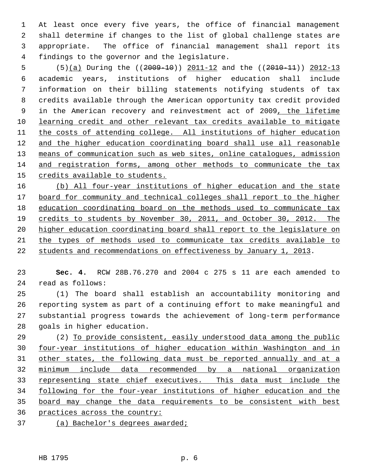1 At least once every five years, the office of financial management 2 shall determine if changes to the list of global challenge states are 3 appropriate. The office of financial management shall report its 4 findings to the governor and the legislature.

5 (5)(a) During the ((2009-10)) 2011-12 and the ((2010-11)) 2012-13 6 academic years, institutions of higher education shall include 7 information on their billing statements notifying students of tax 8 credits available through the American opportunity tax credit provided 9 in the American recovery and reinvestment act of 2009, the lifetime 10 learning credit and other relevant tax credits available to mitigate 11 the costs of attending college. All institutions of higher education 12 and the higher education coordinating board shall use all reasonable 13 means of communication such as web sites, online catalogues, admission 14 and registration forms, among other methods to communicate the tax 15 credits available to students.

 (b) All four-year institutions of higher education and the state board for community and technical colleges shall report to the higher education coordinating board on the methods used to communicate tax credits to students by November 30, 2011, and October 30, 2012. The higher education coordinating board shall report to the legislature on the types of methods used to communicate tax credits available to students and recommendations on effectiveness by January 1, 2013.

23 **Sec. 4.** RCW 28B.76.270 and 2004 c 275 s 11 are each amended to 24 read as follows:

25 (1) The board shall establish an accountability monitoring and 26 reporting system as part of a continuing effort to make meaningful and 27 substantial progress towards the achievement of long-term performance 28 goals in higher education.

29 (2) To provide consistent, easily understood data among the public four-year institutions of higher education within Washington and in other states, the following data must be reported annually and at a minimum include data recommended by a national organization representing state chief executives. This data must include the following for the four-year institutions of higher education and the board may change the data requirements to be consistent with best practices across the country:

37 (a) Bachelor's degrees awarded;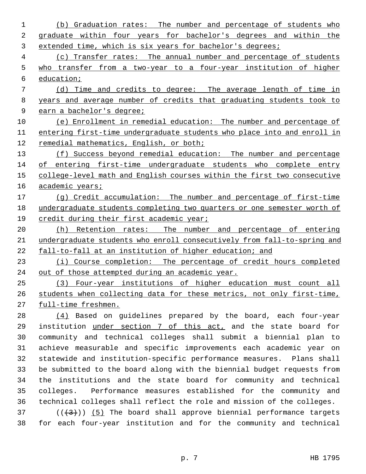(b) Graduation rates: The number and percentage of students who graduate within four years for bachelor's degrees and within the extended time, which is six years for bachelor's degrees; (c) Transfer rates: The annual number and percentage of students who transfer from a two-year to a four-year institution of higher education; (d) Time and credits to degree: The average length of time in years and average number of credits that graduating students took to earn a bachelor's degree; (e) Enrollment in remedial education: The number and percentage of entering first-time undergraduate students who place into and enroll in remedial mathematics, English, or both; (f) Success beyond remedial education: The number and percentage of entering first-time undergraduate students who complete entry college-level math and English courses within the first two consecutive academic years; (g) Credit accumulation: The number and percentage of first-time undergraduate students completing two quarters or one semester worth of 19 credit during their first academic year; (h) Retention rates: The number and percentage of entering undergraduate students who enroll consecutively from fall-to-spring and fall-to-fall at an institution of higher education; and (i) Course completion: The percentage of credit hours completed out of those attempted during an academic year. (3) Four-year institutions of higher education must count all students when collecting data for these metrics, not only first-time, full-time freshmen. 28 (4) Based on guidelines prepared by the board, each four-year 29 institution under section 7 of this act, and the state board for 30 community and technical colleges shall submit a biennial plan to 31 achieve measurable and specific improvements each academic year on 32 statewide and institution-specific performance measures. Plans shall 33 be submitted to the board along with the biennial budget requests from 34 the institutions and the state board for community and technical

36 technical colleges shall reflect the role and mission of the colleges.  $(1)(3)$  (( $(3)$ )) (5) The board shall approve biennial performance targets 38 for each four-year institution and for the community and technical

35 colleges. Performance measures established for the community and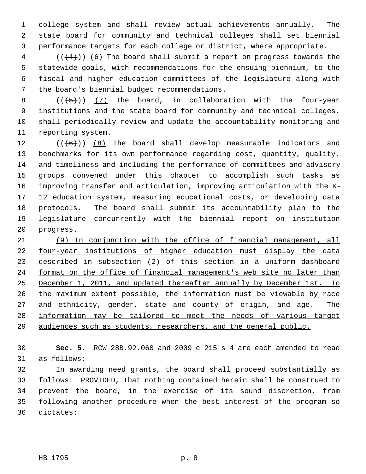1 college system and shall review actual achievements annually. The 2 state board for community and technical colleges shall set biennial 3 performance targets for each college or district, where appropriate.

 $4$  (( $(4)$ )) (6) The board shall submit a report on progress towards the 5 statewide goals, with recommendations for the ensuing biennium, to the 6 fiscal and higher education committees of the legislature along with 7 the board's biennial budget recommendations.

8  $((+5))$  (7) The board, in collaboration with the four-year 9 institutions and the state board for community and technical colleges, 10 shall periodically review and update the accountability monitoring and 11 reporting system.

12  $((+6))$  (8) The board shall develop measurable indicators and 13 benchmarks for its own performance regarding cost, quantity, quality, 14 and timeliness and including the performance of committees and advisory 15 groups convened under this chapter to accomplish such tasks as 16 improving transfer and articulation, improving articulation with the K-17 12 education system, measuring educational costs, or developing data 18 protocols. The board shall submit its accountability plan to the 19 legislature concurrently with the biennial report on institution 20 progress.

 (9) In conjunction with the office of financial management, all four-year institutions of higher education must display the data described in subsection (2) of this section in a uniform dashboard format on the office of financial management's web site no later than December 1, 2011, and updated thereafter annually by December 1st. To the maximum extent possible, the information must be viewable by race and ethnicity, gender, state and county of origin, and age. The information may be tailored to meet the needs of various target audiences such as students, researchers, and the general public.

30 **Sec. 5.** RCW 28B.92.060 and 2009 c 215 s 4 are each amended to read 31 as follows:

32 In awarding need grants, the board shall proceed substantially as 33 follows: PROVIDED, That nothing contained herein shall be construed to 34 prevent the board, in the exercise of its sound discretion, from 35 following another procedure when the best interest of the program so 36 dictates: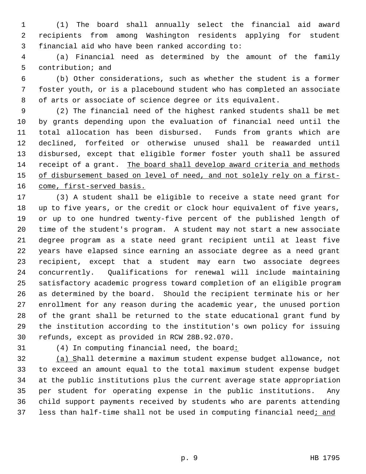1 (1) The board shall annually select the financial aid award 2 recipients from among Washington residents applying for student 3 financial aid who have been ranked according to:

 4 (a) Financial need as determined by the amount of the family 5 contribution; and

 6 (b) Other considerations, such as whether the student is a former 7 foster youth, or is a placebound student who has completed an associate 8 of arts or associate of science degree or its equivalent.

 9 (2) The financial need of the highest ranked students shall be met 10 by grants depending upon the evaluation of financial need until the 11 total allocation has been disbursed. Funds from grants which are 12 declined, forfeited or otherwise unused shall be reawarded until 13 disbursed, except that eligible former foster youth shall be assured 14 receipt of a grant. The board shall develop award criteria and methods 15 of disbursement based on level of need, and not solely rely on a first-16 come, first-served basis.

17 (3) A student shall be eligible to receive a state need grant for 18 up to five years, or the credit or clock hour equivalent of five years, 19 or up to one hundred twenty-five percent of the published length of 20 time of the student's program. A student may not start a new associate 21 degree program as a state need grant recipient until at least five 22 years have elapsed since earning an associate degree as a need grant 23 recipient, except that a student may earn two associate degrees 24 concurrently. Qualifications for renewal will include maintaining 25 satisfactory academic progress toward completion of an eligible program 26 as determined by the board. Should the recipient terminate his or her 27 enrollment for any reason during the academic year, the unused portion 28 of the grant shall be returned to the state educational grant fund by 29 the institution according to the institution's own policy for issuing 30 refunds, except as provided in RCW 28B.92.070.

31 (4) In computing financial need, the board:

32 (a) Shall determine a maximum student expense budget allowance, not 33 to exceed an amount equal to the total maximum student expense budget 34 at the public institutions plus the current average state appropriation 35 per student for operating expense in the public institutions. Any 36 child support payments received by students who are parents attending 37 less than half-time shall not be used in computing financial need; and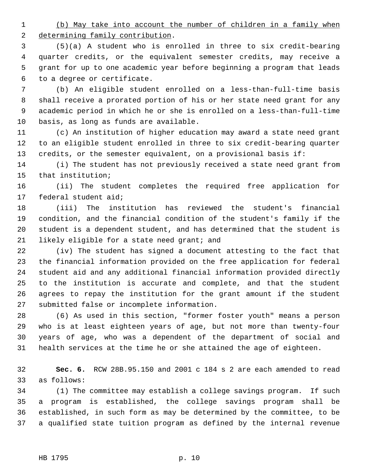1 (b) May take into account the number of children in a family when 2 determining family contribution.

 3 (5)(a) A student who is enrolled in three to six credit-bearing 4 quarter credits, or the equivalent semester credits, may receive a 5 grant for up to one academic year before beginning a program that leads 6 to a degree or certificate.

 7 (b) An eligible student enrolled on a less-than-full-time basis 8 shall receive a prorated portion of his or her state need grant for any 9 academic period in which he or she is enrolled on a less-than-full-time 10 basis, as long as funds are available.

11 (c) An institution of higher education may award a state need grant 12 to an eligible student enrolled in three to six credit-bearing quarter 13 credits, or the semester equivalent, on a provisional basis if:

14 (i) The student has not previously received a state need grant from 15 that institution;

16 (ii) The student completes the required free application for 17 federal student aid;

18 (iii) The institution has reviewed the student's financial 19 condition, and the financial condition of the student's family if the 20 student is a dependent student, and has determined that the student is 21 likely eligible for a state need grant; and

22 (iv) The student has signed a document attesting to the fact that 23 the financial information provided on the free application for federal 24 student aid and any additional financial information provided directly 25 to the institution is accurate and complete, and that the student 26 agrees to repay the institution for the grant amount if the student 27 submitted false or incomplete information.

28 (6) As used in this section, "former foster youth" means a person 29 who is at least eighteen years of age, but not more than twenty-four 30 years of age, who was a dependent of the department of social and 31 health services at the time he or she attained the age of eighteen.

32 **Sec. 6.** RCW 28B.95.150 and 2001 c 184 s 2 are each amended to read 33 as follows:

34 (1) The committee may establish a college savings program. If such 35 a program is established, the college savings program shall be 36 established, in such form as may be determined by the committee, to be 37 a qualified state tuition program as defined by the internal revenue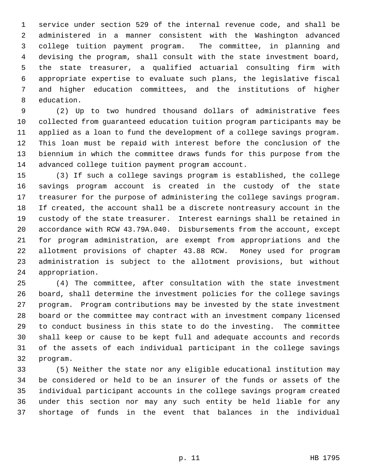1 service under section 529 of the internal revenue code, and shall be 2 administered in a manner consistent with the Washington advanced 3 college tuition payment program. The committee, in planning and 4 devising the program, shall consult with the state investment board, 5 the state treasurer, a qualified actuarial consulting firm with 6 appropriate expertise to evaluate such plans, the legislative fiscal 7 and higher education committees, and the institutions of higher 8 education.

 9 (2) Up to two hundred thousand dollars of administrative fees 10 collected from guaranteed education tuition program participants may be 11 applied as a loan to fund the development of a college savings program. 12 This loan must be repaid with interest before the conclusion of the 13 biennium in which the committee draws funds for this purpose from the 14 advanced college tuition payment program account.

15 (3) If such a college savings program is established, the college 16 savings program account is created in the custody of the state 17 treasurer for the purpose of administering the college savings program. 18 If created, the account shall be a discrete nontreasury account in the 19 custody of the state treasurer. Interest earnings shall be retained in 20 accordance with RCW 43.79A.040. Disbursements from the account, except 21 for program administration, are exempt from appropriations and the 22 allotment provisions of chapter 43.88 RCW. Money used for program 23 administration is subject to the allotment provisions, but without 24 appropriation.

25 (4) The committee, after consultation with the state investment 26 board, shall determine the investment policies for the college savings 27 program. Program contributions may be invested by the state investment 28 board or the committee may contract with an investment company licensed 29 to conduct business in this state to do the investing. The committee 30 shall keep or cause to be kept full and adequate accounts and records 31 of the assets of each individual participant in the college savings 32 program.

33 (5) Neither the state nor any eligible educational institution may 34 be considered or held to be an insurer of the funds or assets of the 35 individual participant accounts in the college savings program created 36 under this section nor may any such entity be held liable for any 37 shortage of funds in the event that balances in the individual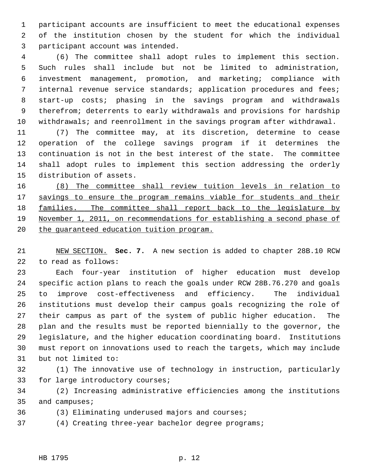1 participant accounts are insufficient to meet the educational expenses 2 of the institution chosen by the student for which the individual 3 participant account was intended.

 4 (6) The committee shall adopt rules to implement this section. 5 Such rules shall include but not be limited to administration, 6 investment management, promotion, and marketing; compliance with 7 internal revenue service standards; application procedures and fees; 8 start-up costs; phasing in the savings program and withdrawals 9 therefrom; deterrents to early withdrawals and provisions for hardship 10 withdrawals; and reenrollment in the savings program after withdrawal.

11 (7) The committee may, at its discretion, determine to cease 12 operation of the college savings program if it determines the 13 continuation is not in the best interest of the state. The committee 14 shall adopt rules to implement this section addressing the orderly 15 distribution of assets.

 (8) The committee shall review tuition levels in relation to 17 savings to ensure the program remains viable for students and their families. The committee shall report back to the legislature by November 1, 2011, on recommendations for establishing a second phase of the guaranteed education tuition program.

21 NEW SECTION. **Sec. 7.** A new section is added to chapter 28B.10 RCW 22 to read as follows:

23 Each four-year institution of higher education must develop 24 specific action plans to reach the goals under RCW 28B.76.270 and goals 25 to improve cost-effectiveness and efficiency. The individual 26 institutions must develop their campus goals recognizing the role of 27 their campus as part of the system of public higher education. The 28 plan and the results must be reported biennially to the governor, the 29 legislature, and the higher education coordinating board. Institutions 30 must report on innovations used to reach the targets, which may include 31 but not limited to:

32 (1) The innovative use of technology in instruction, particularly 33 for large introductory courses;

34 (2) Increasing administrative efficiencies among the institutions 35 and campuses;

36 (3) Eliminating underused majors and courses;

37 (4) Creating three-year bachelor degree programs;